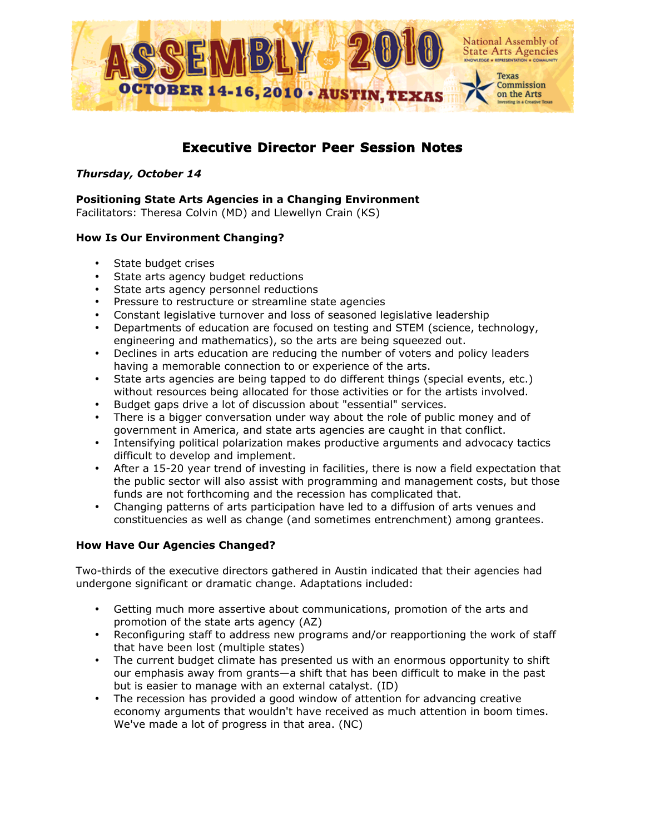

# **Executive Director Peer Session Notes**

# *Thursday, October 14*

## **Positioning State Arts Agencies in a Changing Environment**

Facilitators: Theresa Colvin (MD) and Llewellyn Crain (KS)

# **How Is Our Environment Changing?**

- State budget crises
- State arts agency budget reductions
- State arts agency personnel reductions
- Pressure to restructure or streamline state agencies
- Constant legislative turnover and loss of seasoned legislative leadership
- Departments of education are focused on testing and STEM (science, technology, engineering and mathematics), so the arts are being squeezed out.
- Declines in arts education are reducing the number of voters and policy leaders having a memorable connection to or experience of the arts.
- State arts agencies are being tapped to do different things (special events, etc.) without resources being allocated for those activities or for the artists involved.
- Budget gaps drive a lot of discussion about "essential" services.
- There is a bigger conversation under way about the role of public money and of government in America, and state arts agencies are caught in that conflict.
- Intensifying political polarization makes productive arguments and advocacy tactics difficult to develop and implement.
- After a 15-20 year trend of investing in facilities, there is now a field expectation that the public sector will also assist with programming and management costs, but those funds are not forthcoming and the recession has complicated that.
- Changing patterns of arts participation have led to a diffusion of arts venues and constituencies as well as change (and sometimes entrenchment) among grantees.

# **How Have Our Agencies Changed?**

Two-thirds of the executive directors gathered in Austin indicated that their agencies had undergone significant or dramatic change. Adaptations included:

- Getting much more assertive about communications, promotion of the arts and promotion of the state arts agency (AZ)
- Reconfiguring staff to address new programs and/or reapportioning the work of staff that have been lost (multiple states)
- The current budget climate has presented us with an enormous opportunity to shift our emphasis away from grants—a shift that has been difficult to make in the past but is easier to manage with an external catalyst. (ID)
- The recession has provided a good window of attention for advancing creative economy arguments that wouldn't have received as much attention in boom times. We've made a lot of progress in that area. (NC)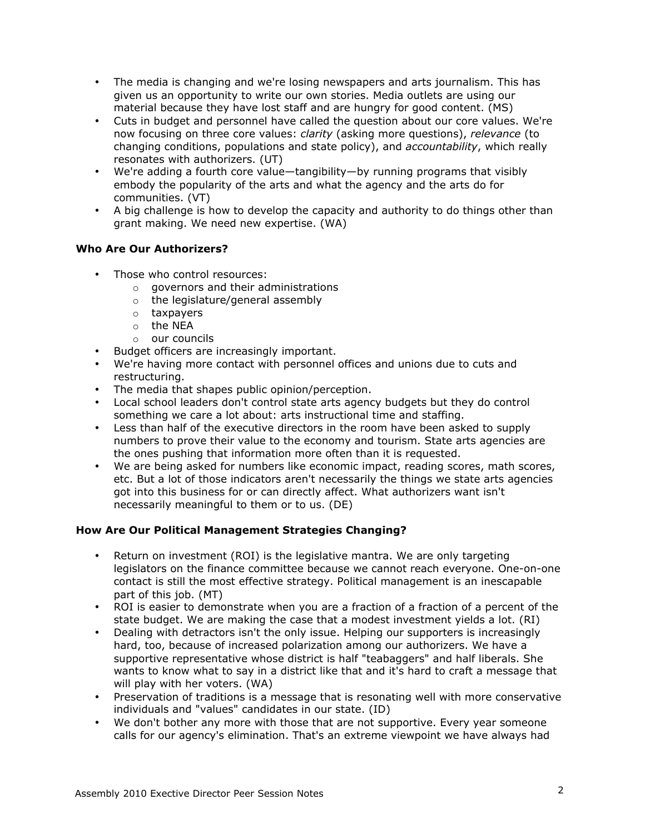- The media is changing and we're losing newspapers and arts journalism. This has given us an opportunity to write our own stories. Media outlets are using our material because they have lost staff and are hungry for good content. (MS)
- Cuts in budget and personnel have called the question about our core values. We're now focusing on three core values: *clarity* (asking more questions), *relevance* (to changing conditions, populations and state policy), and *accountability*, which really resonates with authorizers. (UT)
- We're adding a fourth core value—tangibility—by running programs that visibly embody the popularity of the arts and what the agency and the arts do for communities. (VT)
- A big challenge is how to develop the capacity and authority to do things other than grant making. We need new expertise. (WA)

# **Who Are Our Authorizers?**

- Those who control resources:
	- o governors and their administrations
	- o the legislature/general assembly
	- o taxpayers
	- o the NEA
	- o our councils
- Budget officers are increasingly important.
- We're having more contact with personnel offices and unions due to cuts and restructuring.
- The media that shapes public opinion/perception.
- Local school leaders don't control state arts agency budgets but they do control something we care a lot about: arts instructional time and staffing.
- Less than half of the executive directors in the room have been asked to supply numbers to prove their value to the economy and tourism. State arts agencies are the ones pushing that information more often than it is requested.
- We are being asked for numbers like economic impact, reading scores, math scores, etc. But a lot of those indicators aren't necessarily the things we state arts agencies got into this business for or can directly affect. What authorizers want isn't necessarily meaningful to them or to us. (DE)

# **How Are Our Political Management Strategies Changing?**

- Return on investment (ROI) is the legislative mantra. We are only targeting legislators on the finance committee because we cannot reach everyone. One-on-one contact is still the most effective strategy. Political management is an inescapable part of this job. (MT)
- ROI is easier to demonstrate when you are a fraction of a fraction of a percent of the state budget. We are making the case that a modest investment yields a lot. (RI)
- Dealing with detractors isn't the only issue. Helping our supporters is increasingly hard, too, because of increased polarization among our authorizers. We have a supportive representative whose district is half "teabaggers" and half liberals. She wants to know what to say in a district like that and it's hard to craft a message that will play with her voters. (WA)
- Preservation of traditions is a message that is resonating well with more conservative individuals and "values" candidates in our state. (ID)
- We don't bother any more with those that are not supportive. Every year someone calls for our agency's elimination. That's an extreme viewpoint we have always had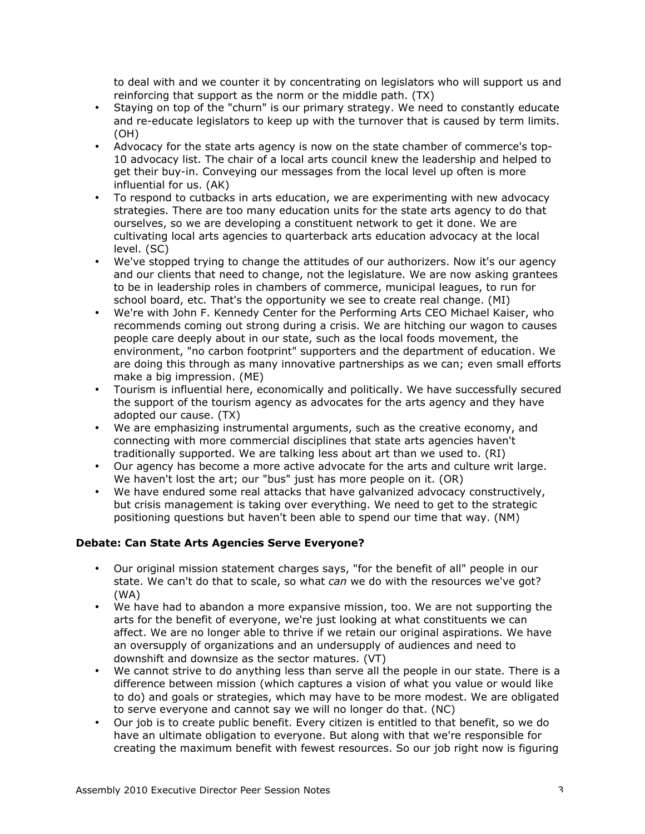to deal with and we counter it by concentrating on legislators who will support us and reinforcing that support as the norm or the middle path. (TX)

- Staying on top of the "churn" is our primary strategy. We need to constantly educate and re-educate legislators to keep up with the turnover that is caused by term limits. (OH)
- Advocacy for the state arts agency is now on the state chamber of commerce's top-10 advocacy list. The chair of a local arts council knew the leadership and helped to get their buy-in. Conveying our messages from the local level up often is more influential for us. (AK)
- To respond to cutbacks in arts education, we are experimenting with new advocacy strategies. There are too many education units for the state arts agency to do that ourselves, so we are developing a constituent network to get it done. We are cultivating local arts agencies to quarterback arts education advocacy at the local level. (SC)
- We've stopped trying to change the attitudes of our authorizers. Now it's our agency and our clients that need to change, not the legislature. We are now asking grantees to be in leadership roles in chambers of commerce, municipal leagues, to run for school board, etc. That's the opportunity we see to create real change. (MI)
- We're with John F. Kennedy Center for the Performing Arts CEO Michael Kaiser, who recommends coming out strong during a crisis. We are hitching our wagon to causes people care deeply about in our state, such as the local foods movement, the environment, "no carbon footprint" supporters and the department of education. We are doing this through as many innovative partnerships as we can; even small efforts make a big impression. (ME)
- Tourism is influential here, economically and politically. We have successfully secured the support of the tourism agency as advocates for the arts agency and they have adopted our cause. (TX)
- We are emphasizing instrumental arguments, such as the creative economy, and connecting with more commercial disciplines that state arts agencies haven't traditionally supported. We are talking less about art than we used to. (RI)
- Our agency has become a more active advocate for the arts and culture writ large. We haven't lost the art; our "bus" just has more people on it. (OR)
- We have endured some real attacks that have galvanized advocacy constructively, but crisis management is taking over everything. We need to get to the strategic positioning questions but haven't been able to spend our time that way. (NM)

# **Debate: Can State Arts Agencies Serve Everyone?**

- Our original mission statement charges says, "for the benefit of all" people in our state. We can't do that to scale, so what *can* we do with the resources we've got? (WA)
- We have had to abandon a more expansive mission, too. We are not supporting the arts for the benefit of everyone, we're just looking at what constituents we can affect. We are no longer able to thrive if we retain our original aspirations. We have an oversupply of organizations and an undersupply of audiences and need to downshift and downsize as the sector matures. (VT)
- We cannot strive to do anything less than serve all the people in our state. There is a difference between mission (which captures a vision of what you value or would like to do) and goals or strategies, which may have to be more modest. We are obligated to serve everyone and cannot say we will no longer do that. (NC)
- Our job is to create public benefit. Every citizen is entitled to that benefit, so we do have an ultimate obligation to everyone. But along with that we're responsible for creating the maximum benefit with fewest resources. So our job right now is figuring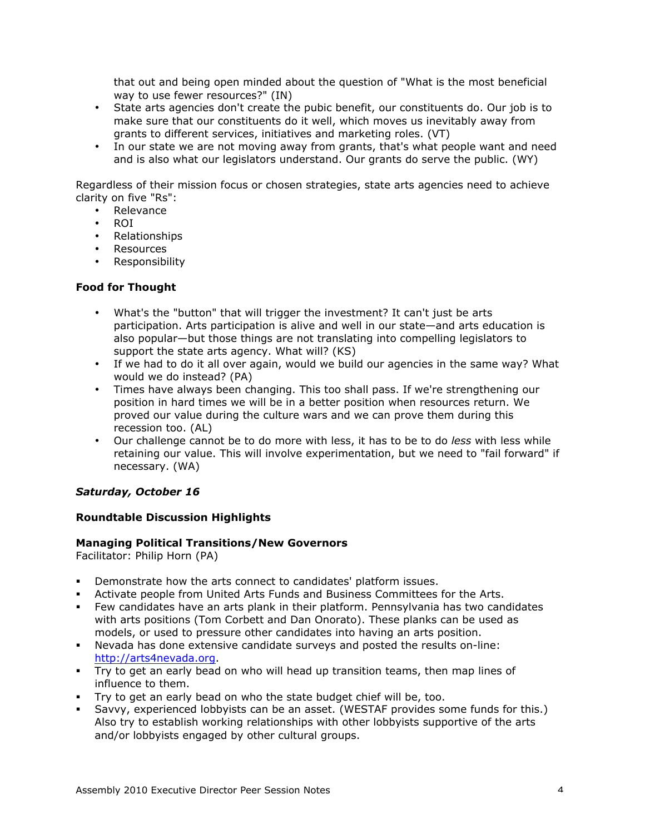that out and being open minded about the question of "What is the most beneficial way to use fewer resources?" (IN)

- State arts agencies don't create the pubic benefit, our constituents do. Our job is to make sure that our constituents do it well, which moves us inevitably away from grants to different services, initiatives and marketing roles. (VT)
- In our state we are not moving away from grants, that's what people want and need and is also what our legislators understand. Our grants do serve the public. (WY)

Regardless of their mission focus or chosen strategies, state arts agencies need to achieve clarity on five "Rs":

- **Relevance**
- ROI
- Relationships
- **Resources**
- Responsibility

## **Food for Thought**

- What's the "button" that will trigger the investment? It can't just be arts participation. Arts participation is alive and well in our state—and arts education is also popular—but those things are not translating into compelling legislators to support the state arts agency. What will? (KS)
- If we had to do it all over again, would we build our agencies in the same way? What would we do instead? (PA)
- Times have always been changing. This too shall pass. If we're strengthening our position in hard times we will be in a better position when resources return. We proved our value during the culture wars and we can prove them during this recession too. (AL)
- Our challenge cannot be to do more with less, it has to be to do *less* with less while retaining our value. This will involve experimentation, but we need to "fail forward" if necessary. (WA)

# *Saturday, October 16*

#### **Roundtable Discussion Highlights**

#### **Managing Political Transitions/New Governors**

Facilitator: Philip Horn (PA)

- Demonstrate how the arts connect to candidates' platform issues.
- Activate people from United Arts Funds and Business Committees for the Arts.
- Few candidates have an arts plank in their platform. Pennsylvania has two candidates with arts positions (Tom Corbett and Dan Onorato). These planks can be used as models, or used to pressure other candidates into having an arts position.
- Nevada has done extensive candidate surveys and posted the results on-line: http://arts4nevada.org.
- Try to get an early bead on who will head up transition teams, then map lines of influence to them.
- Try to get an early bead on who the state budget chief will be, too.
- Savvy, experienced lobbyists can be an asset. (WESTAF provides some funds for this.) Also try to establish working relationships with other lobbyists supportive of the arts and/or lobbyists engaged by other cultural groups.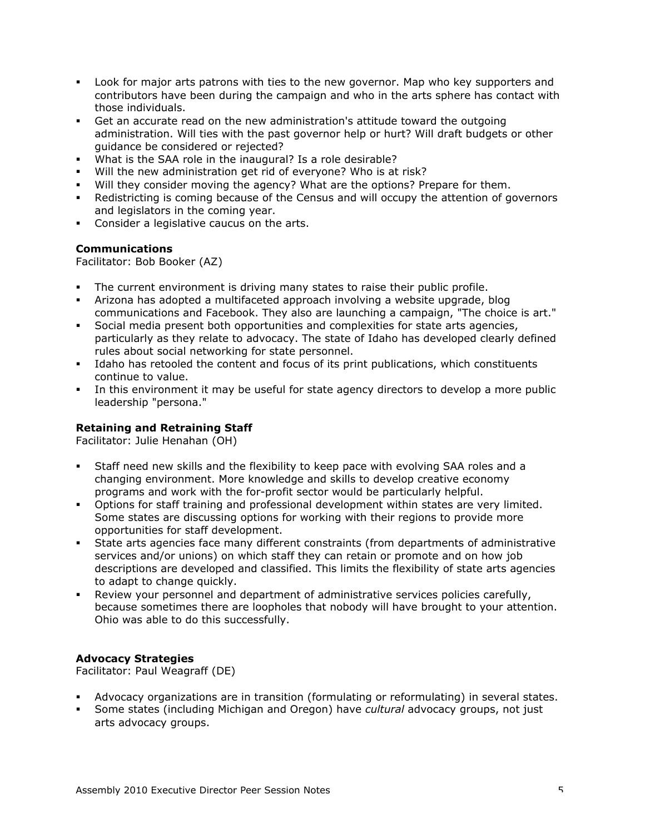- Look for major arts patrons with ties to the new governor. Map who key supporters and contributors have been during the campaign and who in the arts sphere has contact with those individuals.
- Get an accurate read on the new administration's attitude toward the outgoing administration. Will ties with the past governor help or hurt? Will draft budgets or other guidance be considered or rejected?
- What is the SAA role in the inaugural? Is a role desirable?
- Will the new administration get rid of everyone? Who is at risk?
- Will they consider moving the agency? What are the options? Prepare for them.
- Redistricting is coming because of the Census and will occupy the attention of governors and legislators in the coming year.
- Consider a legislative caucus on the arts.

## **Communications**

Facilitator: Bob Booker (AZ)

- The current environment is driving many states to raise their public profile.
- Arizona has adopted a multifaceted approach involving a website upgrade, blog communications and Facebook. They also are launching a campaign, "The choice is art."
- Social media present both opportunities and complexities for state arts agencies, particularly as they relate to advocacy. The state of Idaho has developed clearly defined rules about social networking for state personnel.
- Idaho has retooled the content and focus of its print publications, which constituents continue to value.
- In this environment it may be useful for state agency directors to develop a more public leadership "persona."

# **Retaining and Retraining Staff**

Facilitator: Julie Henahan (OH)

- Staff need new skills and the flexibility to keep pace with evolving SAA roles and a changing environment. More knowledge and skills to develop creative economy programs and work with the for-profit sector would be particularly helpful.
- Options for staff training and professional development within states are very limited. Some states are discussing options for working with their regions to provide more opportunities for staff development.
- State arts agencies face many different constraints (from departments of administrative services and/or unions) on which staff they can retain or promote and on how job descriptions are developed and classified. This limits the flexibility of state arts agencies to adapt to change quickly.
- Review your personnel and department of administrative services policies carefully, because sometimes there are loopholes that nobody will have brought to your attention. Ohio was able to do this successfully.

# **Advocacy Strategies**

Facilitator: Paul Weagraff (DE)

- Advocacy organizations are in transition (formulating or reformulating) in several states.
- Some states (including Michigan and Oregon) have *cultural* advocacy groups, not just arts advocacy groups.